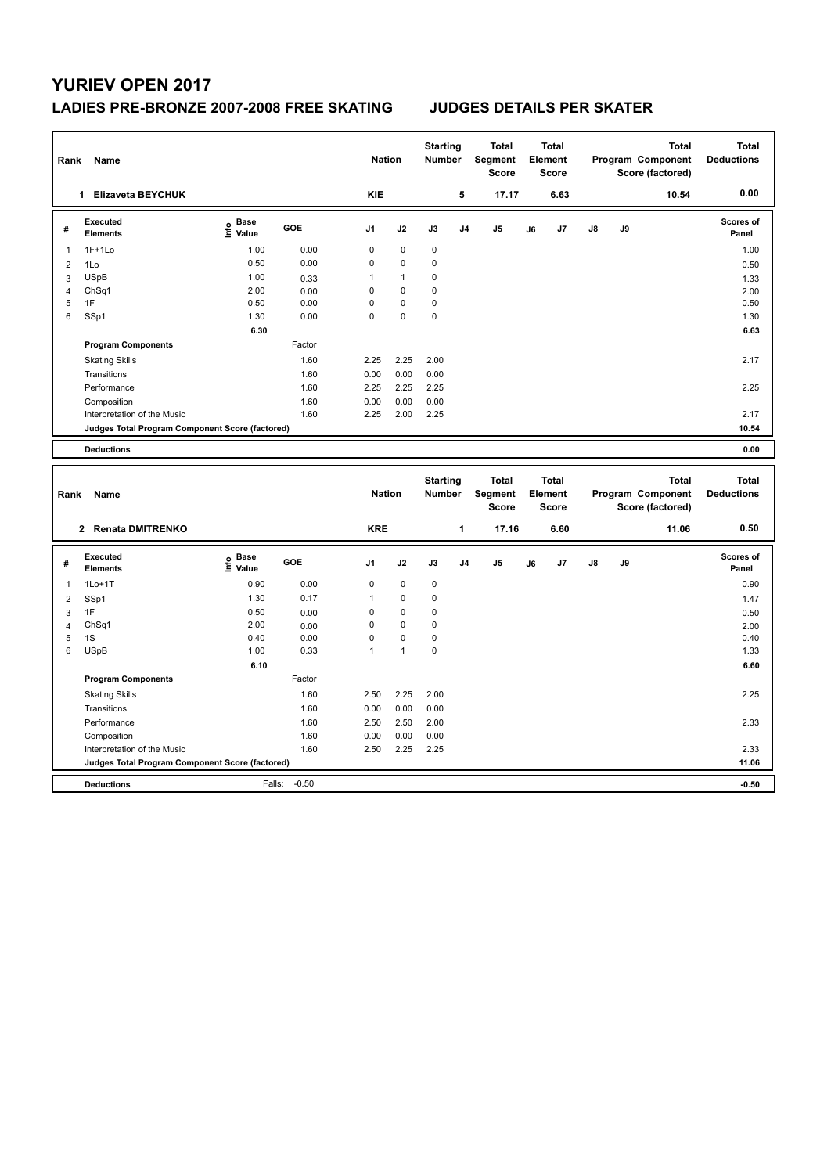### **LADIES PRE-BRONZE 2007-2008 FREE SKATING JUDGES DETAILS PER SKATER**

| Rank                | Name                                            |                   |              | <b>Nation</b>               |                        | <b>Starting</b><br>Number |                | <b>Total</b><br>Segment<br><b>Score</b> |    | <b>Total</b><br>Element<br><b>Score</b> |    |    | <b>Total</b><br>Program Component<br>Score (factored) | <b>Total</b><br><b>Deductions</b> |
|---------------------|-------------------------------------------------|-------------------|--------------|-----------------------------|------------------------|---------------------------|----------------|-----------------------------------------|----|-----------------------------------------|----|----|-------------------------------------------------------|-----------------------------------|
|                     | 1 Elizaveta BEYCHUK                             |                   |              | <b>KIE</b>                  |                        |                           | 5              | 17.17                                   |    | 6.63                                    |    |    | 10.54                                                 | 0.00                              |
| #                   | <b>Executed</b><br><b>Elements</b>              | e Base<br>E Value | GOE          | J <sub>1</sub>              | J2                     | J3                        | J <sub>4</sub> | J <sub>5</sub>                          | J6 | J7                                      | J8 | J9 |                                                       | Scores of<br>Panel                |
| $\mathbf 1$         | $1F+1Lo$                                        | 1.00              | 0.00         | $\mathbf 0$                 | $\mathbf 0$            | 0                         |                |                                         |    |                                         |    |    |                                                       | 1.00                              |
| $\overline{2}$      | 1Lo                                             | 0.50              | 0.00         | $\mathbf 0$                 | 0                      | 0                         |                |                                         |    |                                         |    |    |                                                       | 0.50                              |
| 3                   | <b>USpB</b>                                     | 1.00              | 0.33         | 1                           | $\mathbf{1}$           | 0                         |                |                                         |    |                                         |    |    |                                                       | 1.33                              |
| $\overline{4}$      | ChSq1                                           | 2.00              | 0.00         | $\mathbf 0$                 | 0                      | 0                         |                |                                         |    |                                         |    |    |                                                       | 2.00                              |
| 5                   | 1F                                              | 0.50              | 0.00         | $\mathbf 0$                 | 0                      | 0                         |                |                                         |    |                                         |    |    |                                                       | 0.50                              |
| 6                   | SSp1                                            | 1.30              | 0.00         | $\mathbf 0$                 | 0                      | 0                         |                |                                         |    |                                         |    |    |                                                       | 1.30                              |
|                     |                                                 | 6.30              |              |                             |                        |                           |                |                                         |    |                                         |    |    |                                                       | 6.63                              |
|                     | <b>Program Components</b>                       |                   | Factor       |                             |                        |                           |                |                                         |    |                                         |    |    |                                                       |                                   |
|                     | <b>Skating Skills</b>                           |                   | 1.60         | 2.25                        | 2.25                   | 2.00                      |                |                                         |    |                                         |    |    |                                                       | 2.17                              |
|                     | Transitions                                     |                   | 1.60         | 0.00                        | 0.00                   | 0.00                      |                |                                         |    |                                         |    |    |                                                       |                                   |
|                     | Performance                                     |                   | 1.60         | 2.25                        | 2.25                   | 2.25                      |                |                                         |    |                                         |    |    |                                                       | 2.25                              |
|                     | Composition                                     |                   | 1.60         | 0.00                        | 0.00                   | 0.00                      |                |                                         |    |                                         |    |    |                                                       |                                   |
|                     | Interpretation of the Music                     |                   | 1.60         | 2.25                        | 2.00                   | 2.25                      |                |                                         |    |                                         |    |    |                                                       | 2.17                              |
|                     | Judges Total Program Component Score (factored) |                   |              |                             |                        |                           |                |                                         |    |                                         |    |    |                                                       | 10.54                             |
|                     | <b>Deductions</b>                               |                   |              |                             |                        |                           |                |                                         |    |                                         |    |    |                                                       | 0.00                              |
|                     |                                                 |                   |              |                             |                        |                           |                |                                         |    |                                         |    |    |                                                       |                                   |
| Rank                | Name                                            |                   |              | <b>Nation</b>               |                        | <b>Starting</b><br>Number |                | <b>Total</b><br>Segment<br><b>Score</b> |    | <b>Total</b><br>Element<br><b>Score</b> |    |    | <b>Total</b><br>Program Component<br>Score (factored) | <b>Total</b><br><b>Deductions</b> |
|                     | 2 Renata DMITRENKO                              |                   |              | <b>KRE</b>                  |                        |                           | 1              | 17.16                                   |    | 6.60                                    |    |    | 11.06                                                 | 0.50                              |
| #                   | <b>Executed</b><br><b>Elements</b>              | e Base<br>E Value | GOE          | J1                          | J2                     | J3                        | J <sub>4</sub> | J <sub>5</sub>                          | J6 | J7                                      | J8 | J9 |                                                       | Scores of<br>Panel                |
| $\mathbf{1}$        |                                                 |                   |              |                             |                        |                           |                |                                         |    |                                         |    |    |                                                       |                                   |
|                     | $1Lo+1T$                                        | 0.90<br>1.30      | 0.00<br>0.17 | $\mathbf 0$<br>$\mathbf{1}$ | $\pmb{0}$<br>$\pmb{0}$ | $\pmb{0}$<br>0            |                |                                         |    |                                         |    |    |                                                       | 0.90                              |
| $\overline{2}$      | SSp1<br>1F                                      | 0.50              |              | $\mathbf 0$                 | $\pmb{0}$              | 0                         |                |                                         |    |                                         |    |    |                                                       | 1.47                              |
| 3<br>$\overline{4}$ | Ch <sub>Sq1</sub>                               | 2.00              | 0.00<br>0.00 | $\mathbf 0$                 | 0                      | 0                         |                |                                         |    |                                         |    |    |                                                       | 0.50<br>2.00                      |
| 5                   | 1S                                              | 0.40              | 0.00         | $\mathbf 0$                 | 0                      | 0                         |                |                                         |    |                                         |    |    |                                                       | 0.40                              |
| 6                   | <b>USpB</b>                                     | 1.00              | 0.33         | $\mathbf{1}$                | $\mathbf{1}$           | 0                         |                |                                         |    |                                         |    |    |                                                       | 1.33                              |
|                     |                                                 | 6.10              |              |                             |                        |                           |                |                                         |    |                                         |    |    |                                                       | 6.60                              |
|                     | <b>Program Components</b>                       |                   | Factor       |                             |                        |                           |                |                                         |    |                                         |    |    |                                                       |                                   |
|                     | <b>Skating Skills</b>                           |                   | 1.60         | 2.50                        | 2.25                   | 2.00                      |                |                                         |    |                                         |    |    |                                                       | 2.25                              |
|                     | Transitions                                     |                   | 1.60         | 0.00                        | 0.00                   | 0.00                      |                |                                         |    |                                         |    |    |                                                       |                                   |
|                     | Performance                                     |                   | 1.60         | 2.50                        | 2.50                   | 2.00                      |                |                                         |    |                                         |    |    |                                                       | 2.33                              |
|                     | Composition                                     |                   | 1.60         | 0.00                        | 0.00                   | 0.00                      |                |                                         |    |                                         |    |    |                                                       |                                   |
|                     | Interpretation of the Music                     |                   | 1.60         | 2.50                        | 2.25                   | 2.25                      |                |                                         |    |                                         |    |    |                                                       | 2.33                              |
|                     | Judges Total Program Component Score (factored) |                   |              |                             |                        |                           |                |                                         |    |                                         |    |    |                                                       | 11.06                             |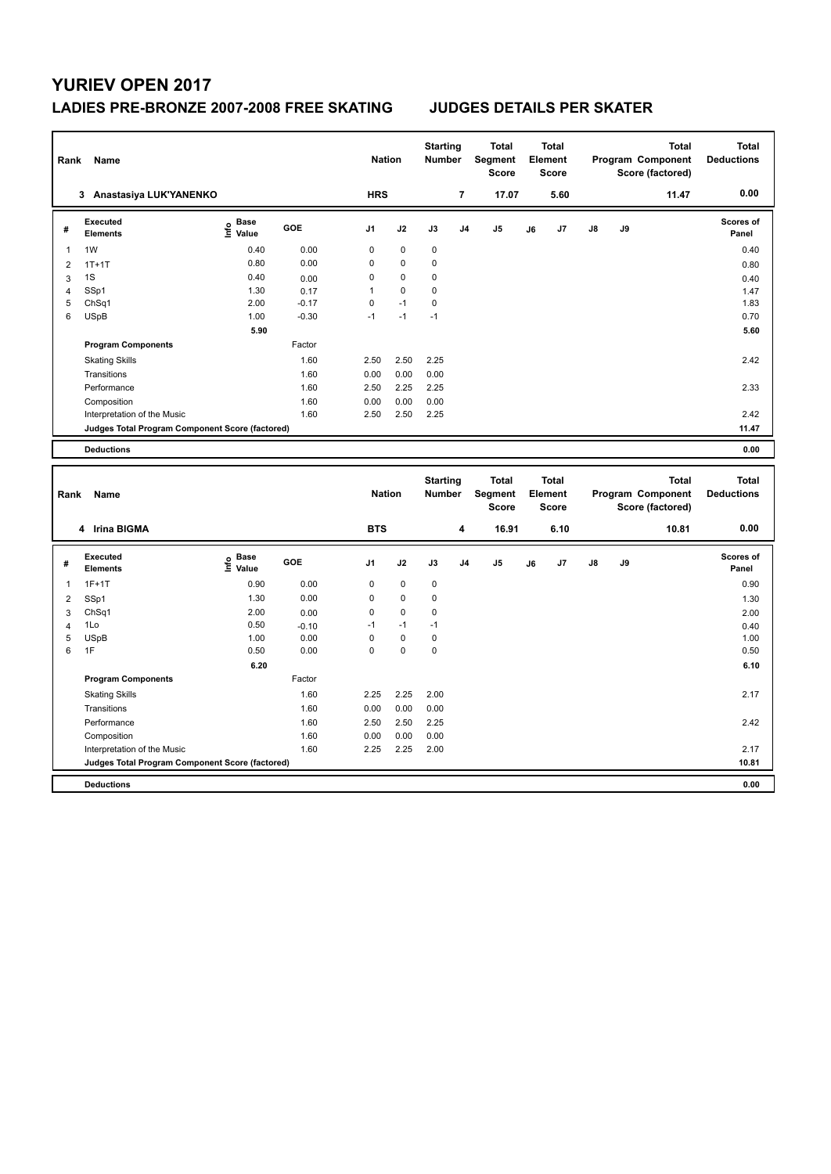### **LADIES PRE-BRONZE 2007-2008 FREE SKATING JUDGES DETAILS PER SKATER**

| Rank           | Name                                                                 |                   |         | <b>Nation</b>  |                          | <b>Starting</b><br><b>Number</b> |                | <b>Total</b><br>Segment<br><b>Score</b> |    | <b>Total</b><br>Element<br><b>Score</b> |    |    | <b>Total</b><br>Program Component<br>Score (factored) | <b>Total</b><br><b>Deductions</b> |
|----------------|----------------------------------------------------------------------|-------------------|---------|----------------|--------------------------|----------------------------------|----------------|-----------------------------------------|----|-----------------------------------------|----|----|-------------------------------------------------------|-----------------------------------|
|                | 3 Anastasiya LUK'YANENKO                                             |                   |         | <b>HRS</b>     |                          |                                  | $\overline{7}$ | 17.07                                   |    | 5.60                                    |    |    | 11.47                                                 | 0.00                              |
| #              | <b>Executed</b><br><b>Elements</b>                                   | e Base<br>E Value | GOE     | J <sub>1</sub> | J2                       | J3                               | J <sub>4</sub> | J <sub>5</sub>                          | J6 | J7                                      | J8 | J9 |                                                       | Scores of<br>Panel                |
| 1              | 1W                                                                   | 0.40              | 0.00    | 0              | $\mathbf 0$              | $\mathbf 0$                      |                |                                         |    |                                         |    |    |                                                       | 0.40                              |
| $\overline{2}$ | $1T+1T$                                                              | 0.80              | 0.00    | 0              | $\pmb{0}$                | $\pmb{0}$                        |                |                                         |    |                                         |    |    |                                                       | 0.80                              |
| 3              | 1S                                                                   | 0.40              | 0.00    | 0              | $\mathbf 0$              | 0                                |                |                                         |    |                                         |    |    |                                                       | 0.40                              |
| $\overline{4}$ | SSp1                                                                 | 1.30              | 0.17    | $\mathbf{1}$   | $\pmb{0}$                | $\pmb{0}$                        |                |                                         |    |                                         |    |    |                                                       | 1.47                              |
| 5              | ChSq1                                                                | 2.00              | $-0.17$ | 0              | $-1$                     | $\pmb{0}$                        |                |                                         |    |                                         |    |    |                                                       | 1.83                              |
| 6              | <b>USpB</b>                                                          | 1.00              | $-0.30$ | $-1$           | $-1$                     | $-1$                             |                |                                         |    |                                         |    |    |                                                       | 0.70                              |
|                |                                                                      | 5.90              |         |                |                          |                                  |                |                                         |    |                                         |    |    |                                                       | 5.60                              |
|                | <b>Program Components</b>                                            |                   | Factor  |                |                          |                                  |                |                                         |    |                                         |    |    |                                                       |                                   |
|                | <b>Skating Skills</b>                                                |                   | 1.60    | 2.50           | 2.50                     | 2.25                             |                |                                         |    |                                         |    |    |                                                       | 2.42                              |
|                | Transitions                                                          |                   | 1.60    | 0.00           | 0.00                     | 0.00                             |                |                                         |    |                                         |    |    |                                                       |                                   |
|                | Performance                                                          |                   | 1.60    | 2.50           | 2.25                     | 2.25                             |                |                                         |    |                                         |    |    |                                                       | 2.33                              |
|                | Composition                                                          |                   | 1.60    | 0.00           | 0.00                     | 0.00                             |                |                                         |    |                                         |    |    |                                                       |                                   |
|                | Interpretation of the Music                                          |                   | 1.60    | 2.50           | 2.50                     | 2.25                             |                |                                         |    |                                         |    |    |                                                       | 2.42                              |
|                | Judges Total Program Component Score (factored)                      |                   |         |                |                          |                                  |                |                                         |    |                                         |    |    |                                                       | 11.47                             |
|                | <b>Deductions</b>                                                    |                   |         |                |                          |                                  |                |                                         |    |                                         |    |    |                                                       | 0.00                              |
|                |                                                                      |                   |         |                |                          |                                  |                |                                         |    |                                         |    |    |                                                       |                                   |
|                |                                                                      |                   |         |                |                          |                                  |                |                                         |    |                                         |    |    |                                                       |                                   |
| Rank           | Name                                                                 |                   |         | <b>Nation</b>  |                          | <b>Starting</b><br>Number        |                | <b>Total</b><br>Segment<br><b>Score</b> |    | <b>Total</b><br>Element<br><b>Score</b> |    |    | <b>Total</b><br>Program Component<br>Score (factored) | <b>Total</b><br><b>Deductions</b> |
|                | 4 Irina BIGMA                                                        |                   |         | <b>BTS</b>     |                          |                                  | 4              | 16.91                                   |    | 6.10                                    |    |    | 10.81                                                 | 0.00                              |
| #              | <b>Executed</b>                                                      | <b>Base</b>       | GOE     | J <sub>1</sub> | J2                       | J3                               | J <sub>4</sub> | J <sub>5</sub>                          | J6 | J7                                      | J8 | J9 |                                                       | <b>Scores of</b>                  |
|                | <b>Elements</b>                                                      | ١nf٥<br>Value     |         |                |                          |                                  |                |                                         |    |                                         |    |    |                                                       | Panel                             |
| $\overline{1}$ | $1F+1T$                                                              | 0.90              | 0.00    | 0              | $\pmb{0}$                | $\pmb{0}$                        |                |                                         |    |                                         |    |    |                                                       | 0.90                              |
| $\overline{c}$ | SSp1                                                                 | 1.30              | 0.00    | 0              | 0                        | 0                                |                |                                         |    |                                         |    |    |                                                       | 1.30                              |
| 3              | ChSq1                                                                | 2.00              | 0.00    | 0              | $\mathbf 0$              | $\mathbf 0$                      |                |                                         |    |                                         |    |    |                                                       | 2.00                              |
| $\overline{4}$ | 1Lo                                                                  | 0.50              | $-0.10$ | $-1$           | $-1$                     | $-1$                             |                |                                         |    |                                         |    |    |                                                       | 0.40                              |
| 5              | <b>USpB</b>                                                          | 1.00              | 0.00    | 0<br>0         | $\pmb{0}$<br>$\mathbf 0$ | $\pmb{0}$                        |                |                                         |    |                                         |    |    |                                                       | 1.00                              |
| 6              | 1F                                                                   | 0.50              | 0.00    |                |                          | $\pmb{0}$                        |                |                                         |    |                                         |    |    |                                                       | 0.50                              |
|                |                                                                      | 6.20              |         |                |                          |                                  |                |                                         |    |                                         |    |    |                                                       | 6.10                              |
|                | <b>Program Components</b>                                            |                   | Factor  |                |                          |                                  |                |                                         |    |                                         |    |    |                                                       |                                   |
|                | <b>Skating Skills</b>                                                |                   | 1.60    | 2.25           | 2.25                     | 2.00                             |                |                                         |    |                                         |    |    |                                                       | 2.17                              |
|                | Transitions                                                          |                   | 1.60    | 0.00           | 0.00                     | 0.00                             |                |                                         |    |                                         |    |    |                                                       |                                   |
|                | Performance                                                          |                   | 1.60    | 2.50           | 2.50                     | 2.25                             |                |                                         |    |                                         |    |    |                                                       | 2.42                              |
|                | Composition                                                          |                   | 1.60    | 0.00           | 0.00                     | 0.00                             |                |                                         |    |                                         |    |    |                                                       |                                   |
|                | Interpretation of the Music                                          |                   | 1.60    | 2.25           | 2.25                     | 2.00                             |                |                                         |    |                                         |    |    |                                                       | 2.17                              |
|                | Judges Total Program Component Score (factored)<br><b>Deductions</b> |                   |         |                |                          |                                  |                |                                         |    |                                         |    |    |                                                       | 10.81<br>0.00                     |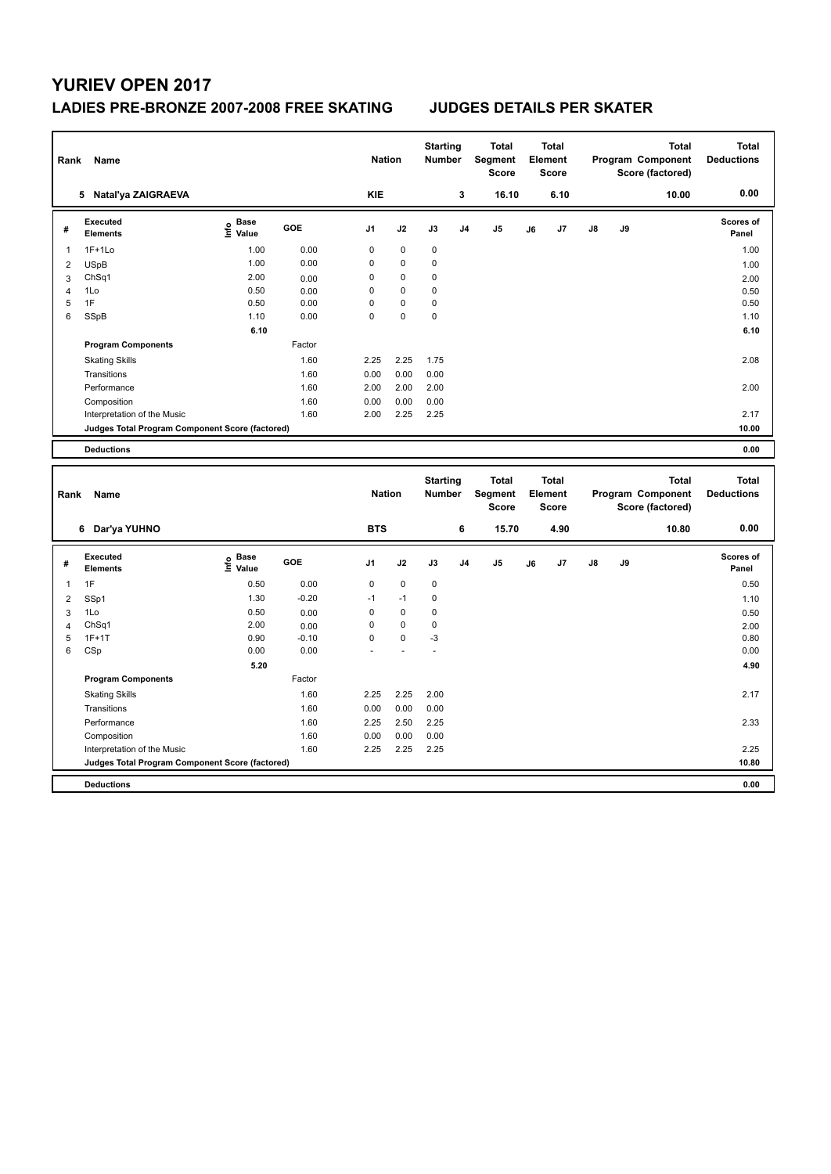### **LADIES PRE-BRONZE 2007-2008 FREE SKATING JUDGES DETAILS PER SKATER**

| Rank                | Name                                            |                                  |                 | <b>Nation</b>              |             | <b>Starting</b><br>Number  |                | <b>Total</b><br>Segment<br><b>Score</b> |    | <b>Total</b><br>Element<br><b>Score</b> |    |    | <b>Total</b><br>Program Component<br>Score (factored) | <b>Total</b><br><b>Deductions</b> |
|---------------------|-------------------------------------------------|----------------------------------|-----------------|----------------------------|-------------|----------------------------|----------------|-----------------------------------------|----|-----------------------------------------|----|----|-------------------------------------------------------|-----------------------------------|
|                     | 5 Natal'ya ZAIGRAEVA                            |                                  |                 | <b>KIE</b>                 |             |                            | 3              | 16.10                                   |    | 6.10                                    |    |    | 10.00                                                 | 0.00                              |
| #                   | <b>Executed</b><br><b>Elements</b>              | <b>Base</b><br>e Base<br>⊆ Value | GOE             | J1                         | J2          | J3                         | J <sub>4</sub> | J5                                      | J6 | J7                                      | J8 | J9 |                                                       | Scores of<br>Panel                |
| -1                  | $1F+1Lo$                                        | 1.00                             | 0.00            | $\mathbf 0$                | 0           | 0                          |                |                                         |    |                                         |    |    |                                                       | 1.00                              |
| $\overline{2}$      | <b>USpB</b>                                     | 1.00                             | 0.00            | $\mathbf 0$                | 0           | 0                          |                |                                         |    |                                         |    |    |                                                       | 1.00                              |
| 3                   | ChSq1                                           | 2.00                             | 0.00            | $\mathbf 0$                | $\mathbf 0$ | 0                          |                |                                         |    |                                         |    |    |                                                       | 2.00                              |
| $\overline{4}$      | 1Lo                                             | 0.50                             | 0.00            | 0                          | 0           | 0                          |                |                                         |    |                                         |    |    |                                                       | 0.50                              |
| 5                   | 1F                                              | 0.50                             | 0.00            | $\mathbf 0$<br>$\mathbf 0$ | 0           | 0                          |                |                                         |    |                                         |    |    |                                                       | 0.50                              |
| 6                   | SSpB                                            | 1.10                             | 0.00            |                            | 0           | 0                          |                |                                         |    |                                         |    |    |                                                       | 1.10                              |
|                     |                                                 | 6.10                             |                 |                            |             |                            |                |                                         |    |                                         |    |    |                                                       | 6.10                              |
|                     | <b>Program Components</b>                       |                                  | Factor          |                            |             |                            |                |                                         |    |                                         |    |    |                                                       |                                   |
|                     | <b>Skating Skills</b>                           |                                  | 1.60            | 2.25                       | 2.25        | 1.75                       |                |                                         |    |                                         |    |    |                                                       | 2.08                              |
|                     | Transitions                                     |                                  | 1.60            | 0.00                       | 0.00        | 0.00                       |                |                                         |    |                                         |    |    |                                                       |                                   |
|                     | Performance                                     |                                  | 1.60            | 2.00                       | 2.00        | 2.00                       |                |                                         |    |                                         |    |    |                                                       | 2.00                              |
|                     | Composition                                     |                                  | 1.60            | 0.00                       | 0.00        | 0.00                       |                |                                         |    |                                         |    |    |                                                       |                                   |
|                     | Interpretation of the Music                     |                                  | 1.60            | 2.00                       | 2.25        | 2.25                       |                |                                         |    |                                         |    |    |                                                       | 2.17                              |
|                     | Judges Total Program Component Score (factored) |                                  |                 |                            |             |                            |                |                                         |    |                                         |    |    |                                                       | 10.00                             |
|                     | <b>Deductions</b>                               |                                  |                 |                            |             |                            |                |                                         |    |                                         |    |    |                                                       | 0.00                              |
|                     |                                                 |                                  |                 |                            |             |                            |                |                                         |    |                                         |    |    |                                                       |                                   |
| Rank                | Name                                            |                                  |                 | <b>Nation</b>              |             | <b>Starting</b><br>Number  |                | <b>Total</b><br>Segment<br><b>Score</b> |    | <b>Total</b><br>Element<br><b>Score</b> |    |    | <b>Total</b><br>Program Component<br>Score (factored) | <b>Total</b><br><b>Deductions</b> |
|                     | 6 Dar'ya YUHNO                                  |                                  |                 | <b>BTS</b>                 |             |                            | 6              | 15.70                                   |    | 4.90                                    |    |    | 10.80                                                 | 0.00                              |
| #                   | <b>Executed</b><br><b>Elements</b>              | <b>Base</b>                      | GOE             | J1                         | J2          | J3                         | J <sub>4</sub> | J <sub>5</sub>                          | J6 | J7                                      | J8 | J9 |                                                       | Scores of<br>Panel                |
| $\mathbf{1}$        |                                                 | e Base<br>⊆ Value                |                 |                            | $\mathbf 0$ |                            |                |                                         |    |                                         |    |    |                                                       |                                   |
|                     | 1F                                              | 0.50<br>1.30                     | 0.00<br>$-0.20$ | 0<br>$-1$                  | $-1$        | $\mathbf 0$<br>$\mathbf 0$ |                |                                         |    |                                         |    |    |                                                       | 0.50                              |
| $\overline{2}$      | SSp1                                            | 0.50                             |                 | $\mathbf 0$                | $\pmb{0}$   | 0                          |                |                                         |    |                                         |    |    |                                                       | 1.10                              |
| 3<br>$\overline{4}$ | 1Lo<br>Ch <sub>Sq1</sub>                        | 2.00                             | 0.00<br>0.00    | $\mathbf 0$                | $\mathbf 0$ | 0                          |                |                                         |    |                                         |    |    |                                                       | 0.50<br>2.00                      |
| 5                   | $1F+1T$                                         | 0.90                             | $-0.10$         | 0                          | 0           | $-3$                       |                |                                         |    |                                         |    |    |                                                       | 0.80                              |
| 6                   | CSp                                             | 0.00                             | 0.00            |                            |             | ä,                         |                |                                         |    |                                         |    |    |                                                       | 0.00                              |
|                     |                                                 | 5.20                             |                 |                            |             |                            |                |                                         |    |                                         |    |    |                                                       | 4.90                              |
|                     | <b>Program Components</b>                       |                                  | Factor          |                            |             |                            |                |                                         |    |                                         |    |    |                                                       |                                   |
|                     | <b>Skating Skills</b>                           |                                  | 1.60            | 2.25                       | 2.25        | 2.00                       |                |                                         |    |                                         |    |    |                                                       | 2.17                              |
|                     | Transitions                                     |                                  | 1.60            | 0.00                       | 0.00        | 0.00                       |                |                                         |    |                                         |    |    |                                                       |                                   |
|                     | Performance                                     |                                  | 1.60            | 2.25                       | 2.50        | 2.25                       |                |                                         |    |                                         |    |    |                                                       | 2.33                              |
|                     | Composition                                     |                                  | 1.60            | 0.00                       | 0.00        | 0.00                       |                |                                         |    |                                         |    |    |                                                       |                                   |
|                     | Interpretation of the Music                     |                                  | 1.60            | 2.25                       | 2.25        | 2.25                       |                |                                         |    |                                         |    |    |                                                       | 2.25                              |
|                     | Judges Total Program Component Score (factored) |                                  |                 |                            |             |                            |                |                                         |    |                                         |    |    |                                                       | 10.80                             |